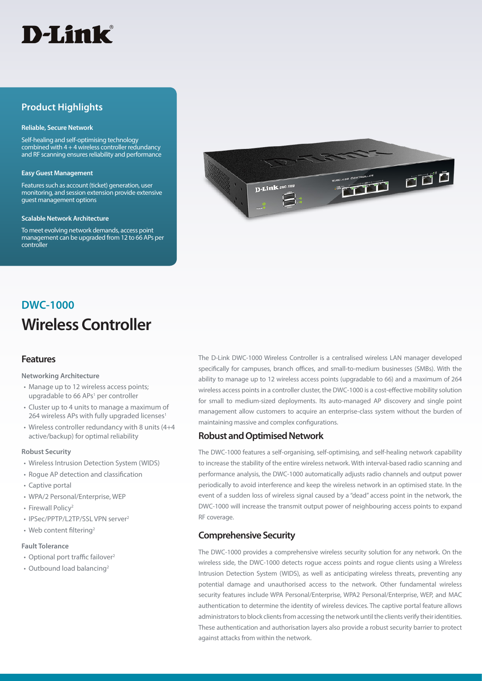

## **Product Highlights**

#### **Reliable, Secure Network**

Self-healing and self-optimising technology combined with  $4 + 4$  wireless controller redundancy and RF scanning ensures reliability and performance

## **Easy Guest Management**

Features such as account (ticket) generation, user monitoring, and session extension provide extensive guest management options

#### **Scalable Network Architecture**

To meet evolving network demands, access point management can be upgraded from 12 to 66 APs per controller



# **Wireless Controller DWC-1000**

## **Features**

## **Networking Architecture**

- Manage up to 12 wireless access points; upgradable to 66 APs<sup>1</sup> per controller
- Cluster up to 4 units to manage a maximum of 264 wireless APs with fully upgraded licenses<sup>1</sup>
- Wireless controller redundancy with 8 units (4+4 active/backup) for optimal reliability

#### **Robust Security**

- Wireless Intrusion Detection System (WIDS)
- Rogue AP detection and classification
- Captive portal
- WPA/2 Personal/Enterprise, WEP
- Firewall Policy<sup>2</sup>
- IPSec/PPTP/L2TP/SSL VPN server<sup>2</sup>
- Web content filtering<sup>2</sup>

## **Fault Tolerance**

- Optional port traffic failover<sup>2</sup>
- Outbound load balancing<sup>2</sup>

The D-Link DWC-1000 Wireless Controller is a centralised wireless LAN manager developed specifically for campuses, branch offices, and small-to-medium businesses (SMBs). With the ability to manage up to 12 wireless access points (upgradable to 66) and a maximum of 264 wireless access points in a controller cluster, the DWC-1000 is a cost-effective mobility solution for small to medium-sized deployments. Its auto-managed AP discovery and single point management allow customers to acquire an enterprise-class system without the burden of maintaining massive and complex configurations.

## **Robust and Optimised Network**

The DWC-1000 features a self-organising, self-optimising, and self-healing network capability to increase the stability of the entire wireless network. With interval-based radio scanning and performance analysis, the DWC-1000 automatically adjusts radio channels and output power periodically to avoid interference and keep the wireless network in an optimised state. In the event of a sudden loss of wireless signal caused by a "dead" access point in the network, the DWC-1000 will increase the transmit output power of neighbouring access points to expand RF coverage.

## **Comprehensive Security**

The DWC-1000 provides a comprehensive wireless security solution for any network. On the wireless side, the DWC-1000 detects rogue access points and rogue clients using a Wireless Intrusion Detection System (WIDS), as well as anticipating wireless threats, preventing any potential damage and unauthorised access to the network. Other fundamental wireless security features include WPA Personal/Enterprise, WPA2 Personal/Enterprise, WEP, and MAC authentication to determine the identity of wireless devices. The captive portal feature allows administrators to block clients from accessing the network until the clients verify their identities. These authentication and authorisation layers also provide a robust security barrier to protect against attacks from within the network.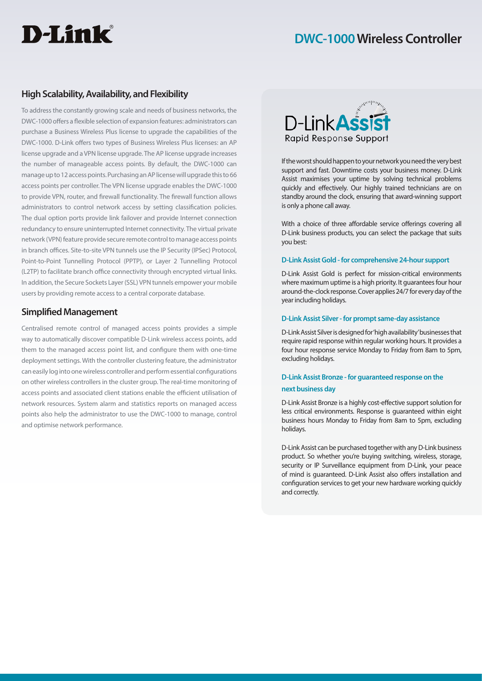# D-Link®

# **DWC-1000 Wireless Controller**

## **High Scalability, Availability, and Flexibility**

To address the constantly growing scale and needs of business networks, the DWC-1000 offers a flexible selection of expansion features: administrators can purchase a Business Wireless Plus license to upgrade the capabilities of the DWC-1000. D-Link offers two types of Business Wireless Plus licenses: an AP license upgrade and a VPN license upgrade. The AP license upgrade increases the number of manageable access points. By default, the DWC-1000 can manage up to 12 access points. Purchasing an AP license will upgrade this to 66 access points per controller. The VPN license upgrade enables the DWC-1000 to provide VPN, router, and firewall functionality. The firewall function allows administrators to control network access by setting classification policies. The dual option ports provide link failover and provide Internet connection redundancy to ensure uninterrupted Internet connectivity. The virtual private network (VPN) feature provide secure remote control to manage access points in branch offices. Site-to-site VPN tunnels use the IP Security (IPSec) Protocol, Point-to-Point Tunnelling Protocol (PPTP), or Layer 2 Tunnelling Protocol (L2TP) to facilitate branch office connectivity through encrypted virtual links. In addition, the Secure Sockets Layer (SSL) VPN tunnels empower your mobile users by providing remote access to a central corporate database.

## **Simplified Management**

Centralised remote control of managed access points provides a simple way to automatically discover compatible D-Link wireless access points, add them to the managed access point list, and configure them with one-time deployment settings. With the controller clustering feature, the administrator can easily log into one wireless controller and perform essential configurations on other wireless controllers in the cluster group. The real-time monitoring of access points and associated client stations enable the efficient utilisation of network resources. System alarm and statistics reports on managed access points also help the administrator to use the DWC-1000 to manage, control and optimise network performance.



If the worst should happen to your network you need the very best support and fast. Downtime costs your business money. D-Link Assist maximises your uptime by solving technical problems quickly and effectively. Our highly trained technicians are on standby around the clock, ensuring that award-winning support is only a phone call away.

With a choice of three affordable service offerings covering all D-Link business products, you can select the package that suits you best:

## **D-Link Assist Gold - for comprehensive 24-hour support**

D-Link Assist Gold is perfect for mission-critical environments where maximum uptime is a high priority. It guarantees four hour around-the-clock response. Cover applies 24/7 for every day of the year including holidays.

## **D-Link Assist Silver - for prompt same-day assistance**

D-Link Assist Silver is designed for 'high availability' businesses that require rapid response within regular working hours. It provides a four hour response service Monday to Friday from 8am to 5pm, excluding holidays.

## **D-Link Assist Bronze - for guaranteed response on the next business day**

D-Link Assist Bronze is a highly cost-effective support solution for less critical environments. Response is guaranteed within eight business hours Monday to Friday from 8am to 5pm, excluding holidays.

D-Link Assist can be purchased together with any D-Link business product. So whether you're buying switching, wireless, storage, security or IP Surveillance equipment from D-Link, your peace of mind is guaranteed. D-Link Assist also offers installation and configuration services to get your new hardware working quickly and correctly.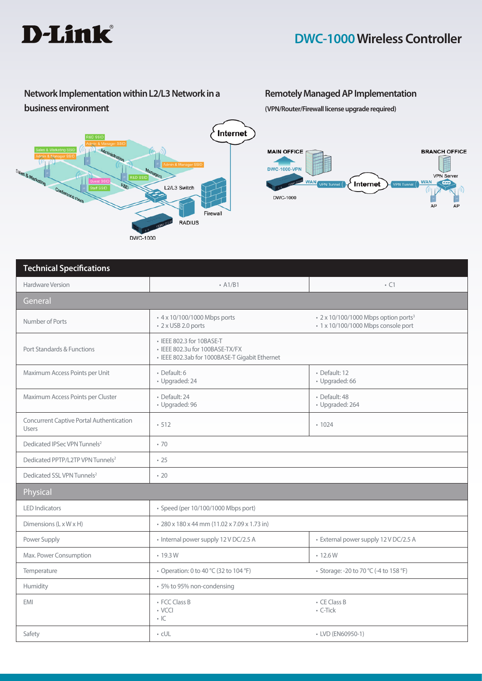

# **Network Implementation within L2/L3 Network in a business environment**



# **Remotely Managed AP Implementation**

**(VPN/Router/Firewall license upgrade required)**



| <b>Technical Specifications</b>                          |                                                                                                                |                                                                                         |
|----------------------------------------------------------|----------------------------------------------------------------------------------------------------------------|-----------------------------------------------------------------------------------------|
| Hardware Version                                         | $-$ A1/B1                                                                                                      | $\cdot$ C1                                                                              |
| General                                                  |                                                                                                                |                                                                                         |
| Number of Ports                                          | • 4 x 10/100/1000 Mbps ports<br>• 2 x USB 2.0 ports                                                            | • 2 x 10/100/1000 Mbps option ports <sup>3</sup><br>• 1 x 10/100/1000 Mbps console port |
| Port Standards & Functions                               | • IEEE 802.3 for 10BASE-T<br>· IEEE 802.3u for 100BASE-TX/FX<br>· IEEE 802.3ab for 1000BASE-T Gigabit Ethernet |                                                                                         |
| Maximum Access Points per Unit                           | · Default: 6<br>· Upgraded: 24                                                                                 | · Default: 12<br>· Upgraded: 66                                                         |
| Maximum Access Points per Cluster                        | · Default: 24<br>· Upgraded: 96                                                                                | · Default: 48<br>· Upgraded: 264                                                        |
| <b>Concurrent Captive Portal Authentication</b><br>Users | $-512$                                                                                                         | .1024                                                                                   |
| Dedicated IPSec VPN Tunnels <sup>2</sup>                 | .70                                                                                                            |                                                                                         |
| Dedicated PPTP/L2TP VPN Tunnels <sup>2</sup>             | .25                                                                                                            |                                                                                         |
| Dedicated SSL VPN Tunnels <sup>2</sup>                   | $\cdot$ 20                                                                                                     |                                                                                         |
| Physical                                                 |                                                                                                                |                                                                                         |
| <b>LED</b> Indicators                                    | • Speed (per 10/100/1000 Mbps port)                                                                            |                                                                                         |
| Dimensions (L x W x H)                                   | • 280 x 180 x 44 mm (11.02 x 7.09 x 1.73 in)                                                                   |                                                                                         |
| Power Supply                                             | • Internal power supply 12 V DC/2.5 A                                                                          | · External power supply 12 V DC/2.5 A                                                   |
| Max. Power Consumption                                   | $\cdot$ 19.3 W                                                                                                 | $\cdot$ 12.6 W                                                                          |
| Temperature                                              | • Operation: 0 to 40 °C (32 to 104 °F)                                                                         | • Storage: -20 to 70 °C (-4 to 158 °F)                                                  |
| Humidity                                                 | • 5% to 95% non-condensing                                                                                     |                                                                                         |
| <b>EMI</b>                                               | • FCC Class B<br>$\cdot$ VCCI<br>$\cdot$ IC                                                                    | • CE Class B<br>• C-Tick                                                                |
| Safety                                                   | $\cdot$ cUL                                                                                                    | • LVD (EN60950-1)                                                                       |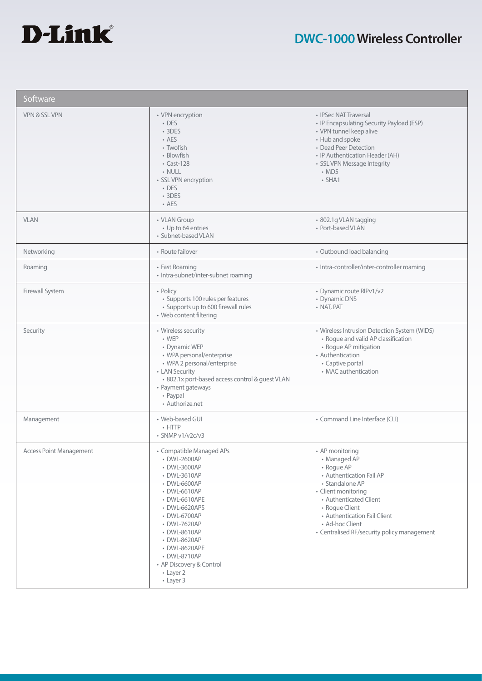

| Software                       |                                                                                                                                                                                                                                                                                                   |                                                                                                                                                                                                                                                                   |
|--------------------------------|---------------------------------------------------------------------------------------------------------------------------------------------------------------------------------------------------------------------------------------------------------------------------------------------------|-------------------------------------------------------------------------------------------------------------------------------------------------------------------------------------------------------------------------------------------------------------------|
| VPN & SSL VPN                  | • VPN encryption<br>$\cdot$ DES<br>$\cdot$ 3DES<br>• AES<br>• Twofish<br>• Blowfish<br>$\cdot$ Cast-128<br>· NULL<br>· SSL VPN encryption<br>• DES<br>$•$ 3DES<br>• AES                                                                                                                           | • IPSec NAT Traversal<br>• IP Encapsulating Security Payload (ESP)<br>• VPN tunnel keep alive<br>• Hub and spoke<br>• Dead Peer Detection<br>• IP Authentication Header (AH)<br>• SSL VPN Message Integrity<br>$\cdot$ MD5<br>$\cdot$ SHA1                        |
| <b>VLAN</b>                    | • VLAN Group<br>• Up to 64 entries<br>· Subnet-based VLAN                                                                                                                                                                                                                                         | • 802.1g VLAN tagging<br>• Port-based VLAN                                                                                                                                                                                                                        |
| Networking                     | • Route failover                                                                                                                                                                                                                                                                                  | • Outbound load balancing                                                                                                                                                                                                                                         |
| Roaming                        | • Fast Roaming<br>• Intra-subnet/inter-subnet roaming                                                                                                                                                                                                                                             | • Intra-controller/inter-controller roaming                                                                                                                                                                                                                       |
| Firewall System                | • Policy<br>· Supports 100 rules per features<br>• Supports up to 600 firewall rules<br>• Web content filtering                                                                                                                                                                                   | • Dynamic route RIPv1/v2<br>• Dynamic DNS<br>• NAT, PAT                                                                                                                                                                                                           |
| Security                       | • Wireless security<br>$\cdot$ WEP<br>• Dynamic WEP<br>· WPA personal/enterprise<br>• WPA 2 personal/enterprise<br>• LAN Security<br>· 802.1x port-based access control & guest VLAN<br>• Payment gateways<br>• Paypal<br>• Authorize.net                                                         | • Wireless Intrusion Detection System (WIDS)<br>• Rogue and valid AP classification<br>• Rogue AP mitigation<br>• Authentication<br>• Captive portal<br>• MAC authentication                                                                                      |
| Management                     | • Web-based GUI<br>$\cdot$ HTTP<br>$\cdot$ SNMP v1/v2c/v3                                                                                                                                                                                                                                         | • Command Line Interface (CLI)                                                                                                                                                                                                                                    |
| <b>Access Point Management</b> | • Compatible Managed APs<br>• DWL-2600AP<br>• DWL-3600AP<br>• DWL-3610AP<br>• DWL-6600AP<br>• DWL-6610AP<br>• DWL-6610APE<br>• DWL-6620APS<br>• DWL-6700AP<br>• DWL-7620AP<br>• DWL-8610AP<br>• DWL-8620AP<br>• DWL-8620APE<br>• DWL-8710AP<br>• AP Discovery & Control<br>• Layer 2<br>• Layer 3 | • AP monitoring<br>• Managed AP<br>• Rogue AP<br>• Authentication Fail AP<br>• Standalone AP<br>• Client monitoring<br>• Authenticated Client<br>• Roque Client<br>• Authentication Fail Client<br>• Ad-hoc Client<br>• Centralised RF/security policy management |